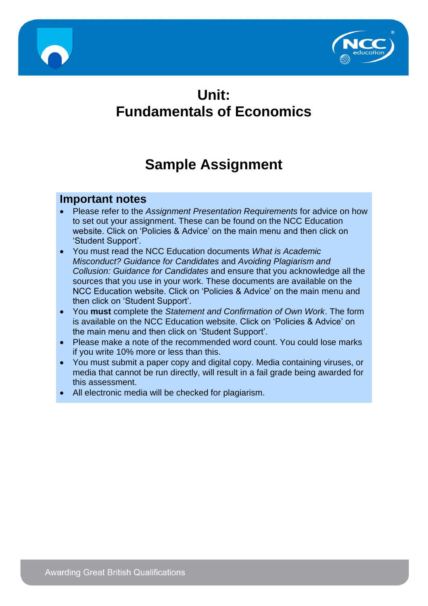



# **Unit: Fundamentals of Economics**

# **Sample Assignment**

#### **Important notes**

- Please refer to the *Assignment Presentation Requirements* for advice on how to set out your assignment. These can be found on the NCC Education website. Click on 'Policies & Advice' on the main menu and then click on 'Student Support'.
- You must read the NCC Education documents *What is Academic Misconduct? Guidance for Candidates* and *Avoiding Plagiarism and Collusion: Guidance for Candidates* and ensure that you acknowledge all the sources that you use in your work. These documents are available on the NCC Education website. Click on 'Policies & Advice' on the main menu and then click on 'Student Support'.
- You **must** complete the *Statement and Confirmation of Own Work*. The form is available on the NCC Education website. Click on 'Policies & Advice' on the main menu and then click on 'Student Support'.
- Please make a note of the recommended word count. You could lose marks if you write 10% more or less than this.
- You must submit a paper copy and digital copy. Media containing viruses, or media that cannot be run directly, will result in a fail grade being awarded for this assessment.
- All electronic media will be checked for plagiarism.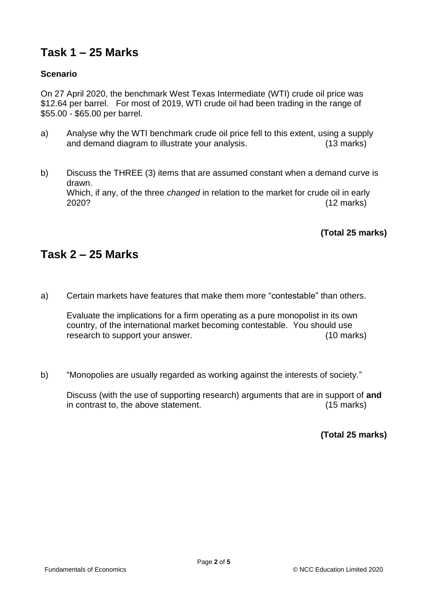## **Task 1 – 25 Marks**

#### **Scenario**

On 27 April 2020, the benchmark West Texas Intermediate (WTI) crude oil price was \$12.64 per barrel. For most of 2019, WTI crude oil had been trading in the range of \$55.00 - \$65.00 per barrel.

- a) Analyse why the WTI benchmark crude oil price fell to this extent, using a supply and demand diagram to illustrate your analysis. (13 marks)
- b) Discuss the THREE (3) items that are assumed constant when a demand curve is drawn. Which, if any, of the three *changed* in relation to the market for crude oil in early 2020? (12 marks)

**(Total 25 marks)**

#### **Task 2 – 25 Marks**

a) Certain markets have features that make them more "contestable" than others.

Evaluate the implications for a firm operating as a pure monopolist in its own country, of the international market becoming contestable. You should use research to support your answer. (10 marks)

b) "Monopolies are usually regarded as working against the interests of society."

Discuss (with the use of supporting research) arguments that are in support of **and** in contrast to, the above statement. (15 marks)

**(Total 25 marks)**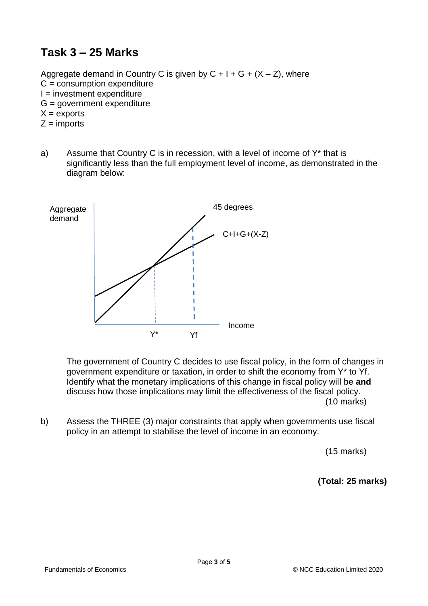#### **Task 3 – 25 Marks**

Aggregate demand in Country C is given by  $C + I + G + (X - Z)$ , where  $C =$  consumption expenditure  $I =$  investment expenditure G = government expenditure  $X =$  exports  $Z =$  imports

a) Assume that Country C is in recession, with a level of income of Y\* that is significantly less than the full employment level of income, as demonstrated in the diagram below:



The government of Country C decides to use fiscal policy, in the form of changes in government expenditure or taxation, in order to shift the economy from Y\* to Yf. Identify what the monetary implications of this change in fiscal policy will be **and**  discuss how those implications may limit the effectiveness of the fiscal policy. (10 marks)

b) Assess the THREE (3) major constraints that apply when governments use fiscal policy in an attempt to stabilise the level of income in an economy.

(15 marks)

**(Total: 25 marks)**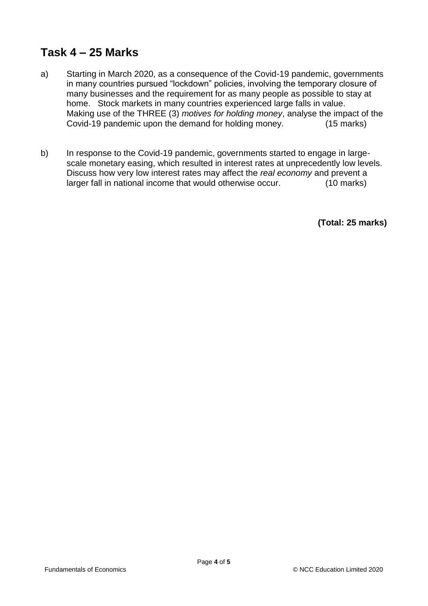#### **Task 4 – 25 Marks**

- a) Starting in March 2020, as a consequence of the Covid-19 pandemic, governments in many countries pursued "lockdown" policies, involving the temporary closure of many businesses and the requirement for as many people as possible to stay at home. Stock markets in many countries experienced large falls in value. Making use of the THREE (3) *motives for holding money*, analyse the impact of the Covid-19 pandemic upon the demand for holding money. (15 marks)
- b) In response to the Covid-19 pandemic, governments started to engage in largescale monetary easing, which resulted in interest rates at unprecedently low levels. Discuss how very low interest rates may affect the *real economy* and prevent a larger fall in national income that would otherwise occur. (10 marks)

**(Total: 25 marks)**